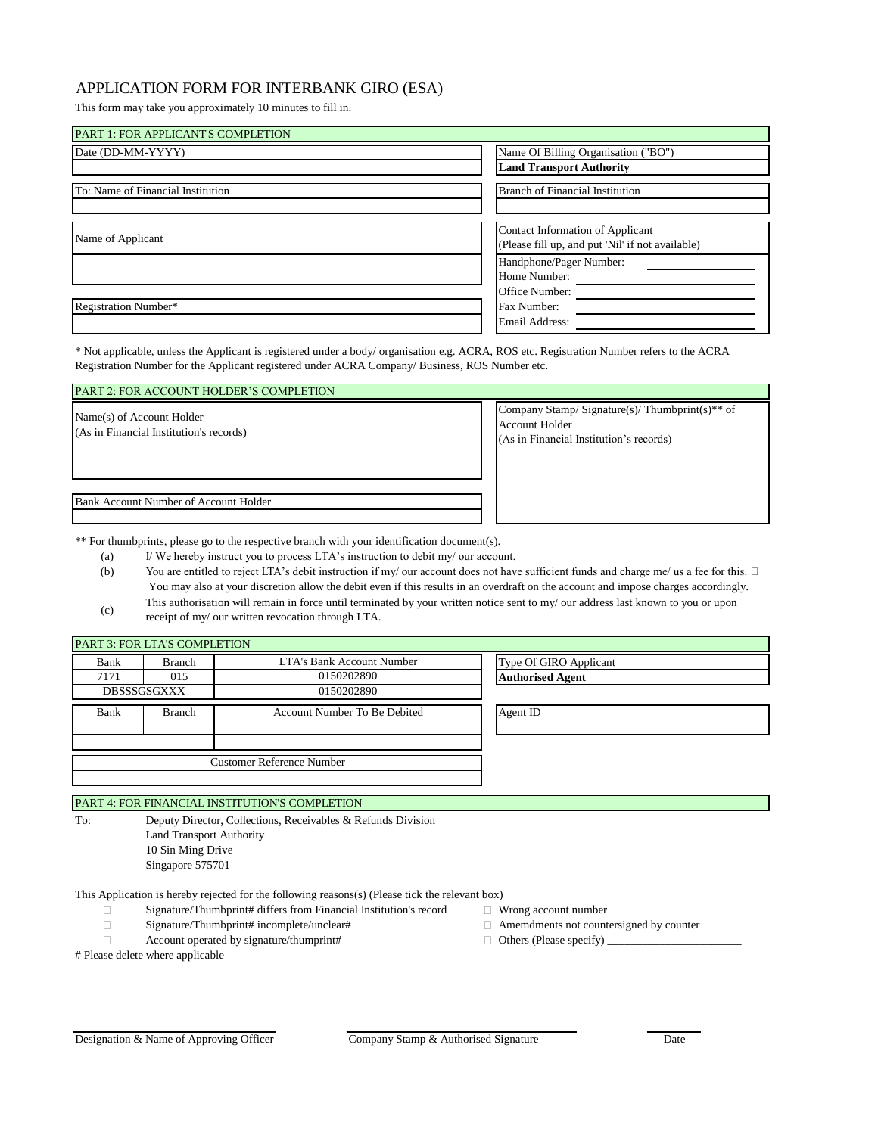## APPLICATION FORM FOR INTERBANK GIRO (ESA)

This form may take you approximately 10 minutes to fill in.

| PART 1: FOR APPLICANT'S COMPLETION |                                                  |
|------------------------------------|--------------------------------------------------|
| Date (DD-MM-YYYY)                  | Name Of Billing Organisation ("BO")              |
|                                    | <b>Land Transport Authority</b>                  |
| To: Name of Financial Institution  | <b>Branch of Financial Institution</b>           |
|                                    |                                                  |
| Name of Applicant                  | Contact Information of Applicant                 |
|                                    | (Please fill up, and put 'Nil' if not available) |
|                                    | Handphone/Pager Number:                          |
|                                    | Home Number:                                     |
|                                    | Office Number:                                   |
| Registration Number*               | Fax Number:                                      |
|                                    | Email Address:                                   |

\* Not applicable, unless the Applicant is registered under a body/ organisation e.g. ACRA, ROS etc. Registration Number refers to the ACRA Registration Number for the Applicant registered under ACRA Company/ Business, ROS Number etc.

## PART 2: FOR ACCOUNT HOLDER'S COMPLETION

Name(s) of Account Holder (As in Financial Institution's records)

Bank Account Number of Account Holder

Company Stamp/ Signature(s)/ Thumbprint(s)\*\* of Account Holder (As in Financial Institution's records)

\*\* For thumbprints, please go to the respective branch with your identification document(s).

- (a) I/ We hereby instruct you to process LTA's instruction to debit my/ our account. (b) You are entitled to reject LTA's debit instruction if my/ our account does not have sufficient funds and charge me/ us a fee for this.  $\Box$
- You may also at your discretion allow the debit even if this results in an overdraft on the account and impose charges accordingly. This authorisation will remain in force until terminated by your written notice sent to my/ our address last known to you or upon
- (c) receipt of my/ our written revocation through LTA.

| PART 3: FOR LTA'S COMPLETION |                    |                                  |                         |
|------------------------------|--------------------|----------------------------------|-------------------------|
| Bank                         | Branch             | LTA's Bank Account Number        | Type Of GIRO Applicant  |
| 7171                         | 015                | 0150202890                       | <b>Authorised Agent</b> |
|                              | <b>DBSSSGSGXXX</b> | 0150202890                       |                         |
| Bank                         | <b>Branch</b>      | Account Number To Be Debited     | Agent ID                |
|                              |                    |                                  |                         |
|                              |                    |                                  |                         |
|                              |                    | <b>Customer Reference Number</b> |                         |
|                              |                    |                                  |                         |

PART 4: FOR FINANCIAL INSTITUTION'S COMPLETION

To: Deputy Director, Collections, Receivables & Refunds Division Land Transport Authority

10 Sin Ming Drive Singapore 575701

This Application is hereby rejected for the following reasons(s) (Please tick the relevant box)

- Signature/Thumbprint# differs from Financial Institution's record Wrong account number  $\Box$
- $\Box$
- $\Box$ Account operated by signature/thumprint#  $\Box$  Others (Please specify)  $\Box$
- # Please delete where applicable
	-
- 
- 
- Signature/Thumbprint# incomplete/unclear#  $\Box$  Amemdments not countersigned by counter
	-